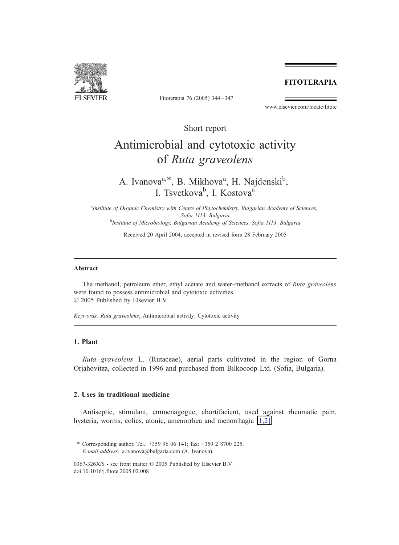# **FITOTERAPIA**



Fitoterapia 76 (2005) 344–347

www.elsevier.com/locate/fitote

Short report

# Antimicrobial and cytotoxic activity of Ruta graveolens

A. Ivanova<sup>a,\*</sup>, B. Mikhova<sup>a</sup>, H. Najdenski<sup>b</sup>, I. Tsvetkova<sup>b</sup>, I. Kostova<sup>a</sup>

<sup>a</sup>Institute of Organic Chemistry with Centre of Phytochemistry, Bulgarian Academy of Sciences, Sofia 1113, Bulgaria<br><sup>b</sup>Institute of Microbiology, Bulgarian Academy of Sciences, Sofia 1113, Bulgaria

Received 20 April 2004; accepted in revised form 28 February 2005

#### Abstract

The methanol, petroleum ether, ethyl acetate and water–methanol extracts of Ruta graveolens were found to possess antimicrobial and cytotoxic activities.  $©$  2005 Published by Elsevier B.V.

Keywords: Ruta graveolens; Antimicrobial activity; Cytotoxic activity

# 1. Plant

Ruta graveolens L. (Rutaceae), aerial parts cultivated in the region of Gorna Orjahovitza, collected in 1996 and purchased from Bilkocoop Ltd. (Sofia, Bulgaria).

# 2. Uses in traditional medicine

Antiseptic, stimulant, emmenagogue, abortifacient, used against rheumatic pain, hysteria, worms, colics, atonic, amenorrhea and menorrhagia [\[1,2\].](#page-3-0)

<sup>\*</sup> Corresponding author. Tel.: +359 96 06 141; fax: +359 2 8700 225. E-mail address: a.ivanova@bulgaria.com (A. Ivanova).

<sup>0367-326</sup> $X/S$  - see front matter  $\odot$  2005 Published by Elsevier B.V. doi:10.1016/j.fitote.2005.02.008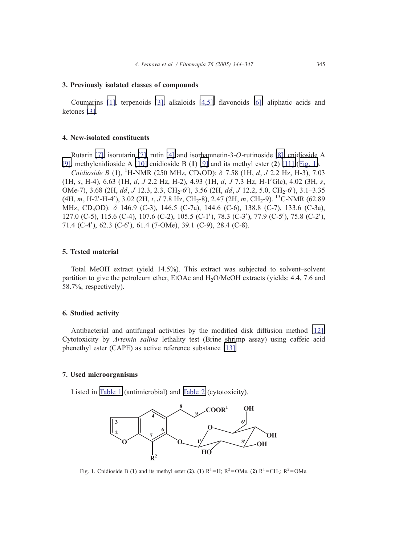# 3. Previously isolated classes of compounds

Coumarins [\[1\],](#page-3-0) terpenoids [\[3\],](#page-3-0) alkaloids [\[4,5\],](#page-3-0) flavonoids [\[6\],](#page-3-0) aliphatic acids and ketones [\[3\].](#page-3-0)

#### 4. New-isolated constituents

Rutarin [\[7\],](#page-3-0) isorutarin [\[7\],](#page-3-0) rutin [\[4\]](#page-3-0) and isorhamnetin-3-O-rutinoside [\[8\],](#page-3-0) cnidioside A [\[9\],](#page-3-0) methylcnidioside A [\[10\]](#page-3-0) cnidioside B  $(1)$  [\[9\]](#page-3-0) and its methyl ester  $(2)$  [\[11\]](#page-3-0) (Fig. 1).

Cnidioside B (1), <sup>1</sup>H-NMR (250 MHz, CD<sub>3</sub>OD):  $\delta$  7.58 (1H, d, J 2.2 Hz, H-3), 7.03  $(1H, s, H-4)$ , 6.63  $(1H, d, J 2.2 Hz, H-2)$ , 4.93  $(1H, d, J 7.3 Hz, H-1'Glc)$ , 4.02  $(3H, s,$ OMe-7), 3.68 (2H, dd, J 12.3, 2.3, CH<sub>2</sub>-6'), 3.56 (2H, dd, J 12.2, 5.0, CH<sub>2</sub>-6'), 3.1–3.35  $(4H, m, H-2'$ -H-4'), 3.02 (2H, t, J 7.8 Hz, CH<sub>2</sub>-8), 2.47 (2H, m, CH<sub>2</sub>-9). <sup>13</sup>C-NMR (62.89 MHz, CD<sub>3</sub>OD): δ 146.9 (C-3), 146.5 (C-7a), 144.6 (C-6), 138.8 (C-7), 133.6 (C-3a), 127.0 (C-5), 115.6 (C-4), 107.6 (C-2), 105.5 (C-1'), 78.3 (C-3'), 77.9 (C-5'), 75.8 (C-2'), 71.4 (C-4'), 62.3 (C-6'), 61.4 (7-OMe), 39.1 (C-9), 28.4 (C-8).

# 5. Tested material

Total MeOH extract (yield 14.5%). This extract was subjected to solvent–solvent partition to give the petroleum ether, EtOAc and H2O/MeOH extracts (yields: 4.4, 7.6 and 58.7%, respectively).

# 6. Studied activity

Antibacterial and antifungal activities by the modified disk diffusion method [\[12\].](#page-3-0) Cytotoxicity by Artemia salina lethality test (Brine shrimp assay) using caffeic acid phenethyl ester (CAPE) as active reference substance [\[13\].](#page-3-0)

## 7. Used microorganisms

Listed in [Table](#page-2-0) 1 (antimicrobial) and [Table](#page-2-0) 2 (cytotoxicity).



Fig. 1. Cnidioside B (1) and its methyl ester (2). (1)  $R^1 = H$ ;  $R^2 = OMe$ . (2)  $R^1 = CH_3$ ;  $R^2 = OMe$ .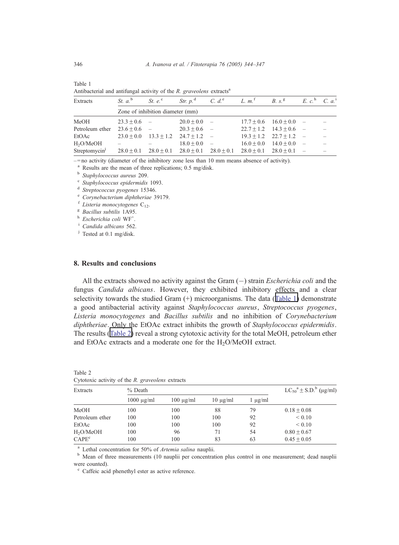| Antibacterial and antifuligal activity of the R. graveolens extracts |                                  |                               |                             |                          |                                                                               |                             |                                          |  |  |
|----------------------------------------------------------------------|----------------------------------|-------------------------------|-----------------------------|--------------------------|-------------------------------------------------------------------------------|-----------------------------|------------------------------------------|--|--|
| Extracts                                                             | St. $a^{\text{b}}$               | St. $e^c$                     |                             |                          | Str. p. <sup>d</sup> C. d. <sup>e</sup> L. m. <sup>f</sup> B. s. <sup>g</sup> |                             | $E \, c^{\text{h}} \, C \, a^{\text{i}}$ |  |  |
|                                                                      | Zone of inhibition diameter (mm) |                               |                             |                          |                                                                               |                             |                                          |  |  |
| MeOH                                                                 | $23.3 + 0.6$ –                   |                               | $20.0 + 0.0$ -              |                          |                                                                               | $17.7 + 0.6$ $16.0 + 0.0$ - |                                          |  |  |
| Petroleum ether                                                      | $23.6 + 0.6$ -                   |                               | $20.3 + 0.6$ –              |                          |                                                                               | $22.7 + 1.2$ $14.3 + 0.6$ - |                                          |  |  |
| EtOAc                                                                | $23.0 + 0.0$                     |                               | $13.3 + 1.2$ $24.7 + 1.2$ - |                          |                                                                               | $19.3 + 1.2$ $22.7 + 1.2$   |                                          |  |  |
| H <sub>2</sub> O/MeOH                                                |                                  |                               | $18.0 + 0.0$                | $\overline{\phantom{a}}$ | $16.0 + 0.0$                                                                  | $14.0 + 0.0$                |                                          |  |  |
| Streptomycin <sup>j</sup>                                            | $28.0 + 0.1$                     | $28.0 \pm 0.1$ $28.0 \pm 0.1$ |                             | $28.0 + 0.1$             | $28.0 + 0.1$                                                                  | $28.0 + 0.1$                |                                          |  |  |

| Antibacterial and antifungal activity of the R. graveolens extracts <sup>a</sup> |  |  |  |
|----------------------------------------------------------------------------------|--|--|--|
|                                                                                  |  |  |  |

–=no activity (diameter of the inhibitory zone less than 10 mm means absence of activity).

a Results are the mean of three replications; 0.5 mg/disk.<br>
b Staphylococcus aureus 209.<br>
c Staphylococcus epidermidis 1093.<br>
d Streptococcus pyogenes 15346.

e Corynebacterium diphtheriae 39179.<br>
f Listeria monocytogenes C<sub>12</sub>.<br>
<sup>8</sup> Bacillus subtilis 1A95.

 $h$  Escherichia coli WF<sup>+</sup>.

 $^{\rm i}$  Candida albicans 562.

<sup>j</sup> Tested at 0.1 mg/disk.

## 8. Results and conclusions

All the extracts showed no activity against the Gram  $(-)$  strain *Escherichia coli* and the fungus Candida albicans. However, they exhibited inhibitory effects and a clear selectivity towards the studied Gram (+) microorganisms. The data (Table 1) demonstrate a good antibacterial activity against Staphylococcus aureus, Streptococcus pyogenes, Listeria monocytogenes and Bacillus subtilis and no inhibition of Corynebacterium diphtheriae. Only the EtOAc extract inhibits the growth of Staphylococcus epidermidis. The results (Table 2) reveal a strong cytotoxic activity for the total MeOH, petroleum ether and EtOAc extracts and a moderate one for the H<sub>2</sub>O/MeOH extract.

| Extracts              | $%$ Death            | $LC_{50}^{\circ}$ <sup>a</sup> ± S.D. <sup>b</sup> (µg/ml) |               |              |               |
|-----------------------|----------------------|------------------------------------------------------------|---------------|--------------|---------------|
|                       | $1000 \text{ µg/ml}$ | $100 \mu g/ml$                                             | $10 \mu g/ml$ | $1 \mu$ g/ml |               |
| MeOH                  | 100                  | 100                                                        | 88            | 79           | $0.18 + 0.08$ |
| Petroleum ether       | 100                  | 100                                                        | 100           | 92           | ${}_{0.10}$   |
| EtOAc                 | 100                  | 100                                                        | 100           | 92           | ${}< 0.10$    |
| H <sub>2</sub> O/MeOH | 100                  | 96                                                         | 71            | 54           | $0.80 + 0.67$ |
| CAPE <sup>c</sup>     | 100                  | 100                                                        | 83            | 63           | $0.45 + 0.05$ |

| Table 2 |  |  |                                                  |  |
|---------|--|--|--------------------------------------------------|--|
|         |  |  | Cytotoxic activity of the R. graveolens extracts |  |

<sup>a</sup> Lethal concentration for 50% of *Artemia salina* nauplii.<br><sup>b</sup> Mean of three measurements (10 nauplii per concentration plus control in one measurement; dead nauplii were counted).

 $\degree$  Caffeic acid phenethyl ester as active reference.

<span id="page-2-0"></span>Table 1